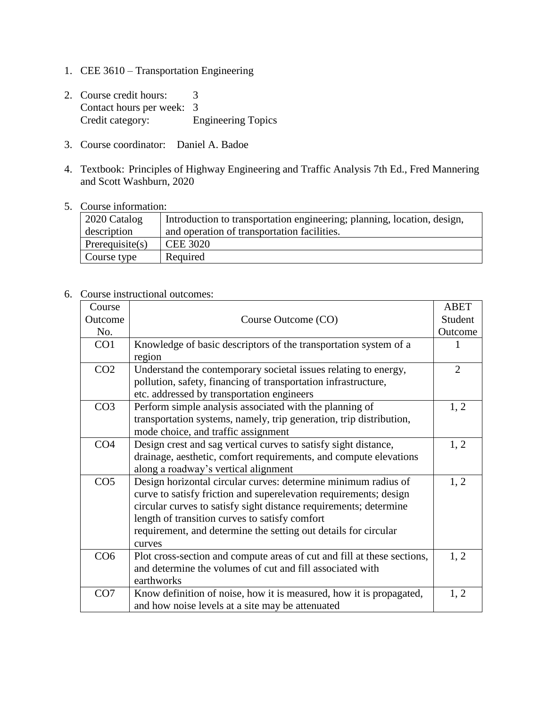- 1. CEE 3610 Transportation Engineering
- 2. Course credit hours: 3 Contact hours per week: 3<br>Credit category: E Engineering Topics
- 3. Course coordinator: Daniel A. Badoe
- 4. Textbook: Principles of Highway Engineering and Traffic Analysis 7th Ed., Fred Mannering and Scott Washburn, 2020
- 5. Course information:

| 2020 Catalog       | Introduction to transportation engineering; planning, location, design, |
|--------------------|-------------------------------------------------------------------------|
| description        | and operation of transportation facilities.                             |
| Prerequisite $(s)$ | <b>CEE 3020</b>                                                         |
| Course type        | Required                                                                |

## 6. Course instructional outcomes:

| Course          |                                                                         | <b>ABET</b>    |
|-----------------|-------------------------------------------------------------------------|----------------|
| Outcome         | Course Outcome (CO)                                                     | Student        |
| No.             |                                                                         | Outcome        |
| CO <sub>1</sub> | Knowledge of basic descriptors of the transportation system of a        | 1              |
|                 | region                                                                  |                |
| CO <sub>2</sub> | Understand the contemporary societal issues relating to energy,         | $\overline{2}$ |
|                 | pollution, safety, financing of transportation infrastructure,          |                |
|                 | etc. addressed by transportation engineers                              |                |
| CO <sub>3</sub> | Perform simple analysis associated with the planning of                 | 1, 2           |
|                 | transportation systems, namely, trip generation, trip distribution,     |                |
|                 | mode choice, and traffic assignment                                     |                |
| CO <sub>4</sub> | Design crest and sag vertical curves to satisfy sight distance,         | 1, 2           |
|                 | drainage, aesthetic, comfort requirements, and compute elevations       |                |
|                 | along a roadway's vertical alignment                                    |                |
| CO <sub>5</sub> | Design horizontal circular curves: determine minimum radius of          | 1, 2           |
|                 | curve to satisfy friction and superelevation requirements; design       |                |
|                 | circular curves to satisfy sight distance requirements; determine       |                |
|                 | length of transition curves to satisfy comfort                          |                |
|                 | requirement, and determine the setting out details for circular         |                |
|                 | curves                                                                  |                |
| CO6             | Plot cross-section and compute areas of cut and fill at these sections, | 1, 2           |
|                 | and determine the volumes of cut and fill associated with               |                |
|                 | earthworks                                                              |                |
| CO7             | Know definition of noise, how it is measured, how it is propagated,     | 1, 2           |
|                 | and how noise levels at a site may be attenuated                        |                |